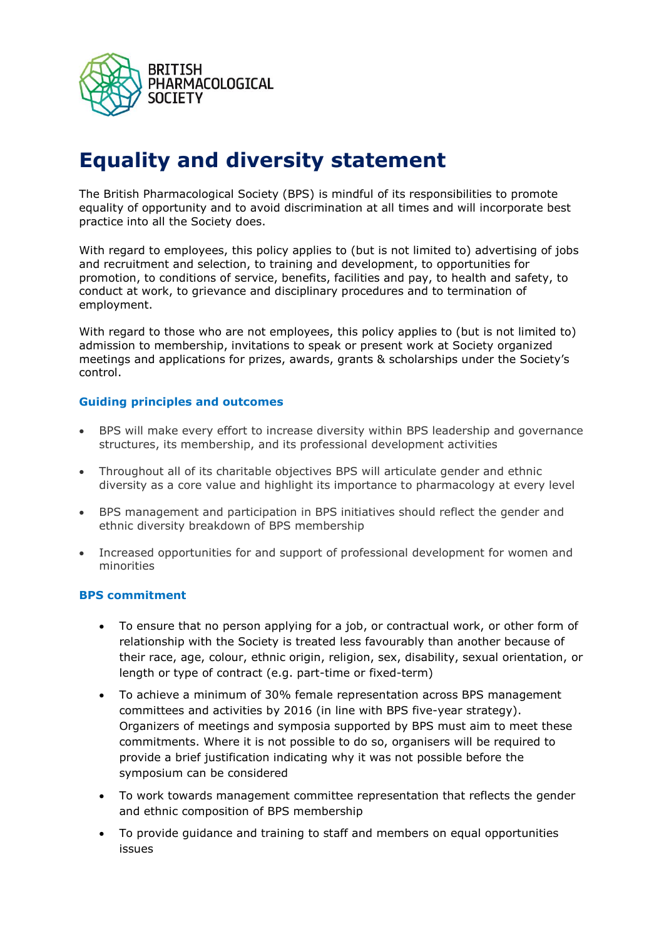

## **Equality and diversity statement**

The British Pharmacological Society (BPS) is mindful of its responsibilities to promote equality of opportunity and to avoid discrimination at all times and will incorporate best practice into all the Society does.

With regard to employees, this policy applies to (but is not limited to) advertising of jobs and recruitment and selection, to training and development, to opportunities for promotion, to conditions of service, benefits, facilities and pay, to health and safety, to conduct at work, to grievance and disciplinary procedures and to termination of employment.

With regard to those who are not employees, this policy applies to (but is not limited to) admission to membership, invitations to speak or present work at Society organized meetings and applications for prizes, awards, grants & scholarships under the Society's control.

## **Guiding principles and outcomes**

- BPS will make every effort to increase diversity within BPS leadership and governance structures, its membership, and its professional development activities
- Throughout all of its charitable objectives BPS will articulate gender and ethnic diversity as a core value and highlight its importance to pharmacology at every level
- BPS management and participation in BPS initiatives should reflect the gender and ethnic diversity breakdown of BPS membership
- Increased opportunities for and support of professional development for women and minorities

## **BPS commitment**

- To ensure that no person applying for a job, or contractual work, or other form of relationship with the Society is treated less favourably than another because of their race, age, colour, ethnic origin, religion, sex, disability, sexual orientation, or length or type of contract (e.g. part-time or fixed-term)
- To achieve a minimum of 30% female representation across BPS management committees and activities by 2016 (in line with BPS five-year strategy). Organizers of meetings and symposia supported by BPS must aim to meet these commitments. Where it is not possible to do so, organisers will be required to provide a brief justification indicating why it was not possible before the symposium can be considered
- To work towards management committee representation that reflects the gender and ethnic composition of BPS membership
- To provide guidance and training to staff and members on equal opportunities issues